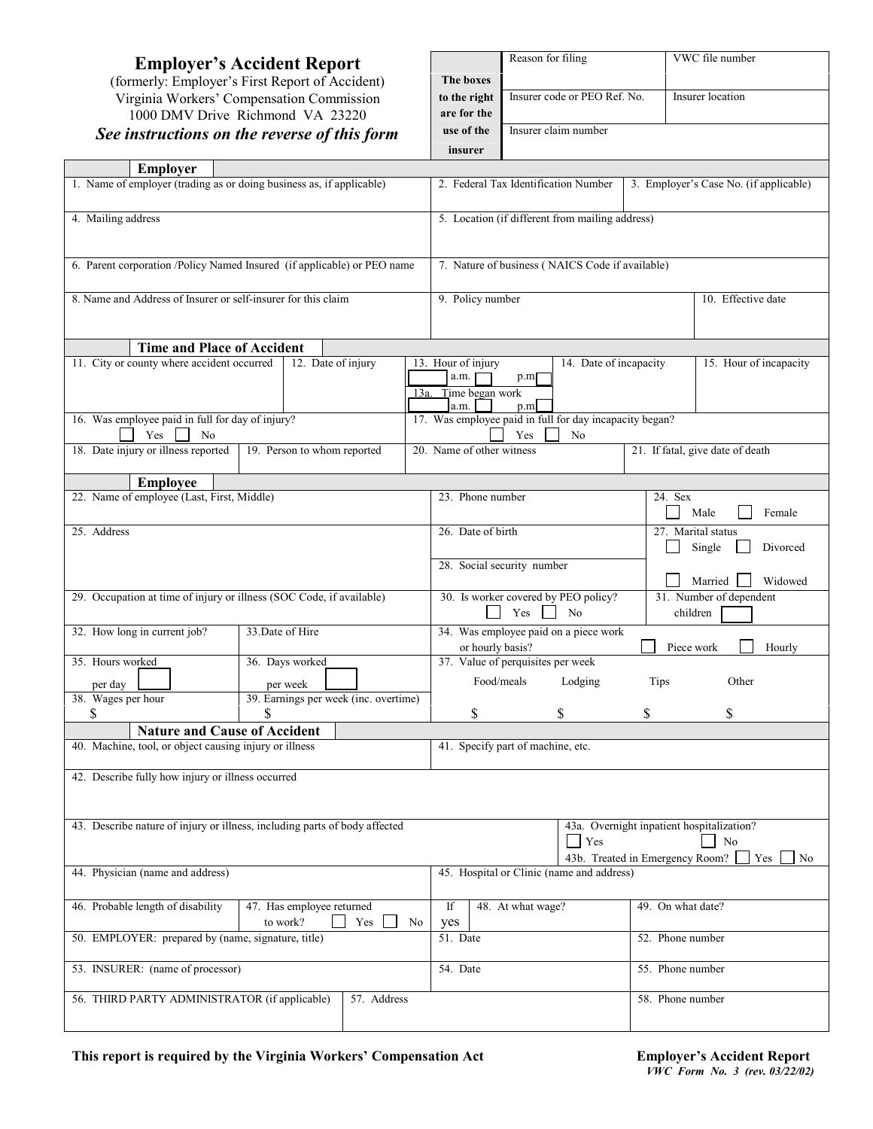# $See$  *instructions*

| <b>Employer's Accident Report</b><br>(formerly: Employer's First Report of Accident) | The boxes                                         | Reason for filing                                                                                                     |                                                                      |                           | VWC file number                     |          |         |
|--------------------------------------------------------------------------------------|---------------------------------------------------|-----------------------------------------------------------------------------------------------------------------------|----------------------------------------------------------------------|---------------------------|-------------------------------------|----------|---------|
| Virginia Workers' Compensation Commission<br>1000 DMV Drive Richmond VA 23220        | to the right<br>are for the                       | Insurer code or PEO Ref. No.                                                                                          |                                                                      |                           | Insurer location                    |          |         |
| See instructions on the reverse of this form                                         | use of the<br>insurer                             | Insurer claim number                                                                                                  |                                                                      |                           |                                     |          |         |
| Employer                                                                             |                                                   |                                                                                                                       |                                                                      |                           |                                     |          |         |
| 1. Name of employer (trading as or doing business as, if applicable)                 |                                                   | 3. Employer's Case No. (if applicable)<br>2. Federal Tax Identification Number                                        |                                                                      |                           |                                     |          |         |
| 4. Mailing address                                                                   | 5. Location (if different from mailing address)   |                                                                                                                       |                                                                      |                           |                                     |          |         |
| 6. Parent corporation /Policy Named Insured (if applicable) or PEO name              |                                                   | 7. Nature of business (NAICS Code if available)                                                                       |                                                                      |                           |                                     |          |         |
| 8. Name and Address of Insurer or self-insurer for this claim                        |                                                   | 9. Policy number<br>10. Effective date                                                                                |                                                                      |                           |                                     |          |         |
| <b>Time and Place of Accident</b>                                                    |                                                   |                                                                                                                       |                                                                      |                           |                                     |          |         |
| 11. City or county where accident occurred                                           | 13. Hour of injury<br>a.m.<br>a.m.                | 14. Date of incapacity<br>15. Hour of incapacity<br>p.m<br>13a. Time began work<br>p.m                                |                                                                      |                           |                                     |          |         |
| 16. Was employee paid in full for day of injury?<br>Yes<br>No                        |                                                   |                                                                                                                       | 17. Was employee paid in full for day incapacity began?<br>Yes<br>No |                           |                                     |          |         |
| 18. Date injury or illness reported                                                  | 19. Person to whom reported                       | 20. Name of other witness                                                                                             |                                                                      |                           | 21. If fatal, give date of death    |          |         |
| <b>Employee</b>                                                                      |                                                   |                                                                                                                       |                                                                      |                           |                                     |          |         |
| 22. Name of employee (Last, First, Middle)                                           |                                                   | 23. Phone number                                                                                                      |                                                                      | 24. Sex<br>Male<br>Female |                                     |          |         |
| 25. Address                                                                          |                                                   | 26. Date of birth<br>27. Marital status<br>Single                                                                     |                                                                      |                           |                                     | Divorced |         |
|                                                                                      |                                                   |                                                                                                                       | 28. Social security number                                           |                           |                                     | Married  | Widowed |
| 29. Occupation at time of injury or illness (SOC Code, if available)                 |                                                   | 30. Is worker covered by PEO policy?<br>Yes<br>N <sub>0</sub>                                                         |                                                                      |                           | 31. Number of dependent<br>children |          |         |
| 32. How long in current job?                                                         | 33. Date of Hire                                  | or hourly basis?                                                                                                      | 34. Was employee paid on a piece work                                |                           | Piece work                          |          | Hourly  |
| 35. Hours worked                                                                     | 36. Days worked                                   |                                                                                                                       | 37. Value of perquisites per week                                    |                           |                                     |          |         |
| per day<br>38. Wages per hour                                                        | per week<br>39. Earnings per week (inc. overtime) |                                                                                                                       | Food/meals Lodging                                                   |                           | Tips                                | Other    |         |
| S                                                                                    |                                                   | \$                                                                                                                    | \$                                                                   | S.                        |                                     |          |         |
| <b>Nature and Cause of Accident</b>                                                  |                                                   |                                                                                                                       |                                                                      |                           |                                     |          |         |
| 40. Machine, tool, or object causing injury or illness                               |                                                   | 41. Specify part of machine, etc.                                                                                     |                                                                      |                           |                                     |          |         |
| 42. Describe fully how injury or illness occurred                                    |                                                   |                                                                                                                       |                                                                      |                           |                                     |          |         |
| 43. Describe nature of injury or illness, including parts of body affected           |                                                   | 43a. Overnight inpatient hospitalization?<br>$\blacksquare$ Yes<br>No<br>43b. Treated in Emergency Room?<br>Yes<br>No |                                                                      |                           |                                     |          |         |
| 44. Physician (name and address)                                                     |                                                   |                                                                                                                       | 45. Hospital or Clinic (name and address)                            |                           |                                     |          |         |
| 46. Probable length of disability                                                    | 47. Has employee returned                         | If                                                                                                                    | 48. At what wage?                                                    |                           | 49. On what date?                   |          |         |

|  | This report is required by the Virginia Workers' Compensation Act |
|--|-------------------------------------------------------------------|
|  |                                                                   |

to work? Simple State State State State State State State State State State State State State State State State State State State State State State State State State State State State State State State State State State St

50. EMPLOYER: prepared by (name, signature, title) 51. Date 52. Phone number

53. INSURER: (name of processor) 54. Date 55. Phone number

56. THIRD PARTY ADMINISTRATOR (if applicable) 57. Address 58. Phone number